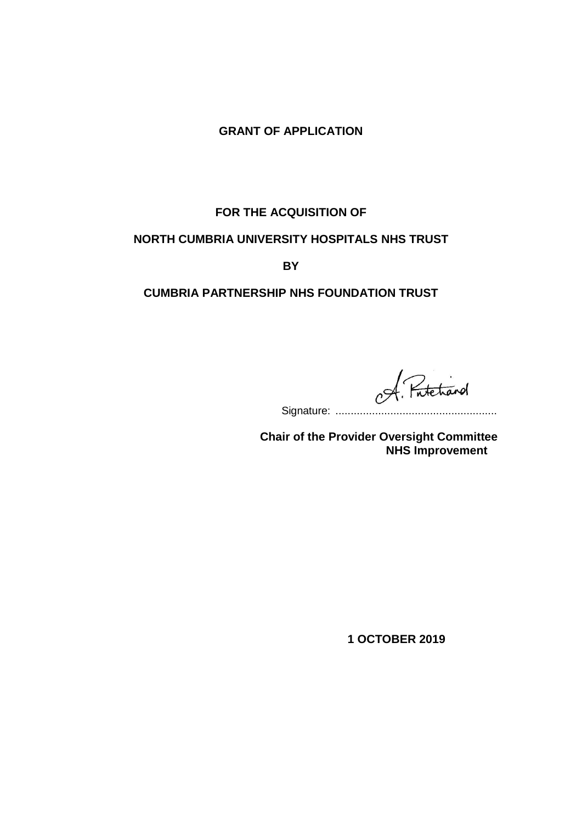# **GRANT OF APPLICATION**

# **FOR THE ACQUISITION OF**

### **NORTH CUMBRIA UNIVERSITY HOSPITALS NHS TRUST**

**BY**

## **CUMBRIA PARTNERSHIP NHS FOUNDATION TRUST**

Fatetrand  $c^{\cancel{\sim}}$ 

Signature: .....................................................

 **Chair of the Provider Oversight Committee NHS Improvement**

**1 OCTOBER 2019**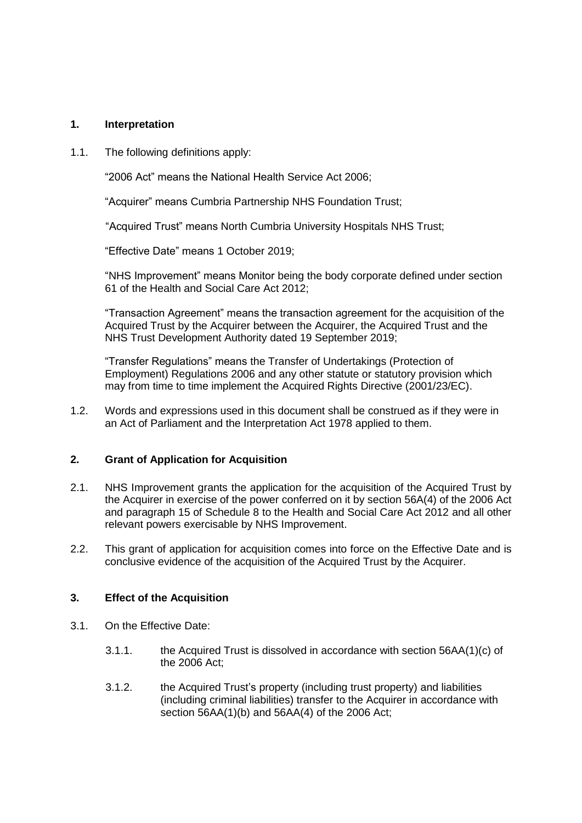#### **1. Interpretation**

1.1. The following definitions apply:

"2006 Act" means the National Health Service Act 2006;

"Acquirer" means Cumbria Partnership NHS Foundation Trust;

"Acquired Trust" means North Cumbria University Hospitals NHS Trust;

"Effective Date" means 1 October 2019;

"NHS Improvement" means Monitor being the body corporate defined under section 61 of the Health and Social Care Act 2012;

"Transaction Agreement" means the transaction agreement for the acquisition of the Acquired Trust by the Acquirer between the Acquirer, the Acquired Trust and the NHS Trust Development Authority dated 19 September 2019;

"Transfer Regulations" means the Transfer of Undertakings (Protection of Employment) Regulations 2006 and any other statute or statutory provision which may from time to time implement the Acquired Rights Directive (2001/23/EC).

1.2. Words and expressions used in this document shall be construed as if they were in an Act of Parliament and the Interpretation Act 1978 applied to them.

#### **2. Grant of Application for Acquisition**

- 2.1. NHS Improvement grants the application for the acquisition of the Acquired Trust by the Acquirer in exercise of the power conferred on it by section 56A(4) of the 2006 Act and paragraph 15 of Schedule 8 to the Health and Social Care Act 2012 and all other relevant powers exercisable by NHS Improvement.
- 2.2. This grant of application for acquisition comes into force on the Effective Date and is conclusive evidence of the acquisition of the Acquired Trust by the Acquirer.

#### **3. Effect of the Acquisition**

- 3.1. On the Effective Date:
	- 3.1.1. the Acquired Trust is dissolved in accordance with section 56AA(1)(c) of the 2006 Act;
	- 3.1.2. the Acquired Trust's property (including trust property) and liabilities (including criminal liabilities) transfer to the Acquirer in accordance with section 56AA(1)(b) and 56AA(4) of the 2006 Act;